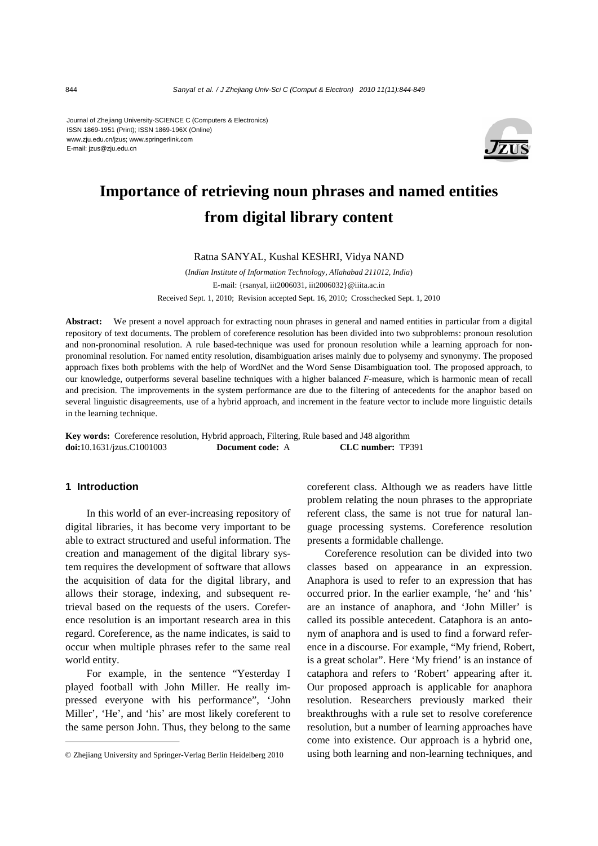Journal of Zhejiang University-SCIENCE C (Computers & Electronics) ISSN 1869-1951 (Print); ISSN 1869-196X (Online) www.zju.edu.cn/jzus; www.springerlink.com E-mail: jzus@zju.edu.cn



# **Importance of retrieving noun phrases and named entities from digital library content**

Ratna SANYAL, Kushal KESHRI, Vidya NAND

(*Indian Institute of Information Technology, Allahabad 211012, India*) E-mail: {rsanyal, iit2006031, iit2006032}@iiita.ac.in Received Sept. 1, 2010; Revision accepted Sept. 16, 2010; Crosschecked Sept. 1, 2010

**Abstract:** We present a novel approach for extracting noun phrases in general and named entities in particular from a digital repository of text documents. The problem of coreference resolution has been divided into two subproblems: pronoun resolution and non-pronominal resolution. A rule based-technique was used for pronoun resolution while a learning approach for nonpronominal resolution. For named entity resolution, disambiguation arises mainly due to polysemy and synonymy. The proposed approach fixes both problems with the help of WordNet and the Word Sense Disambiguation tool. The proposed approach, to our knowledge, outperforms several baseline techniques with a higher balanced *F*-measure, which is harmonic mean of recall and precision. The improvements in the system performance are due to the filtering of antecedents for the anaphor based on several linguistic disagreements, use of a hybrid approach, and increment in the feature vector to include more linguistic details in the learning technique.

**Key words:** Coreference resolution, Hybrid approach, Filtering, Rule based and J48 algorithm **doi:**10.1631/jzus.C1001003 **Document code:** A **CLC number:** TP391

## **1 Introduction**

In this world of an ever-increasing repository of digital libraries, it has become very important to be able to extract structured and useful information. The creation and management of the digital library system requires the development of software that allows the acquisition of data for the digital library, and allows their storage, indexing, and subsequent retrieval based on the requests of the users. Coreference resolution is an important research area in this regard. Coreference, as the name indicates, is said to occur when multiple phrases refer to the same real world entity.

For example, in the sentence "Yesterday I played football with John Miller. He really impressed everyone with his performance", 'John Miller', 'He', and 'his' are most likely coreferent to the same person John. Thus, they belong to the same coreferent class. Although we as readers have little problem relating the noun phrases to the appropriate referent class, the same is not true for natural language processing systems. Coreference resolution presents a formidable challenge.

Coreference resolution can be divided into two classes based on appearance in an expression. Anaphora is used to refer to an expression that has occurred prior. In the earlier example, 'he' and 'his' are an instance of anaphora, and 'John Miller' is called its possible antecedent. Cataphora is an antonym of anaphora and is used to find a forward reference in a discourse. For example, "My friend, Robert, is a great scholar". Here 'My friend' is an instance of cataphora and refers to 'Robert' appearing after it. Our proposed approach is applicable for anaphora resolution. Researchers previously marked their breakthroughs with a rule set to resolve coreference resolution, but a number of learning approaches have come into existence. Our approach is a hybrid one, using both learning and non-learning techniques, and

<sup>©</sup> Zhejiang University and Springer-Verlag Berlin Heidelberg 2010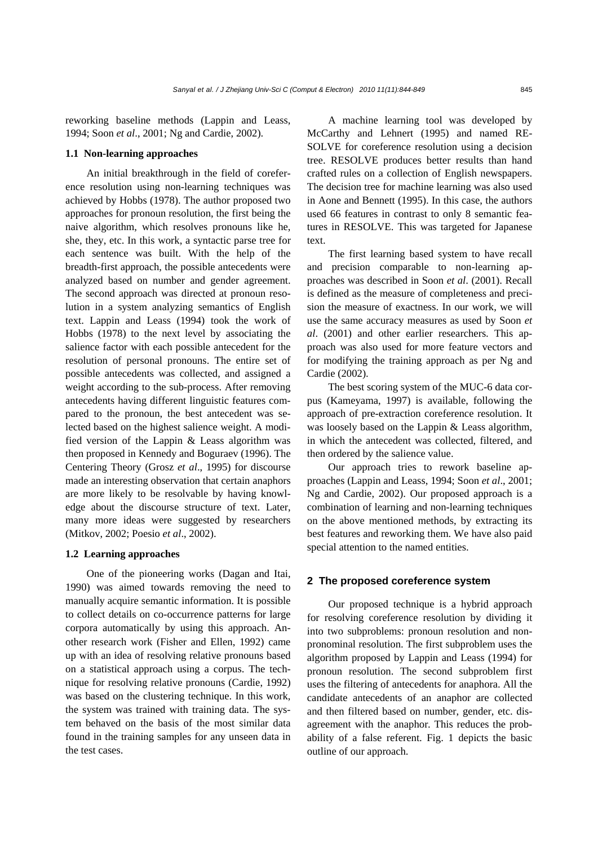reworking baseline methods (Lappin and Leass, 1994; Soon *et al*., 2001; Ng and Cardie, 2002).

#### **1.1 Non-learning approaches**

An initial breakthrough in the field of coreference resolution using non-learning techniques was achieved by Hobbs (1978). The author proposed two approaches for pronoun resolution, the first being the naive algorithm, which resolves pronouns like he, she, they, etc. In this work, a syntactic parse tree for each sentence was built. With the help of the breadth-first approach, the possible antecedents were analyzed based on number and gender agreement. The second approach was directed at pronoun resolution in a system analyzing semantics of English text. Lappin and Leass (1994) took the work of Hobbs (1978) to the next level by associating the salience factor with each possible antecedent for the resolution of personal pronouns. The entire set of possible antecedents was collected, and assigned a weight according to the sub-process. After removing antecedents having different linguistic features compared to the pronoun, the best antecedent was selected based on the highest salience weight. A modified version of the Lappin & Leass algorithm was then proposed in Kennedy and Boguraev (1996). The Centering Theory (Grosz *et al*., 1995) for discourse made an interesting observation that certain anaphors are more likely to be resolvable by having knowledge about the discourse structure of text. Later, many more ideas were suggested by researchers (Mitkov, 2002; Poesio *et al*., 2002).

#### **1.2 Learning approaches**

One of the pioneering works (Dagan and Itai, 1990) was aimed towards removing the need to manually acquire semantic information. It is possible to collect details on co-occurrence patterns for large corpora automatically by using this approach. Another research work (Fisher and Ellen, 1992) came up with an idea of resolving relative pronouns based on a statistical approach using a corpus. The technique for resolving relative pronouns (Cardie, 1992) was based on the clustering technique. In this work, the system was trained with training data. The system behaved on the basis of the most similar data found in the training samples for any unseen data in the test cases.

A machine learning tool was developed by McCarthy and Lehnert (1995) and named RE-SOLVE for coreference resolution using a decision tree. RESOLVE produces better results than hand crafted rules on a collection of English newspapers. The decision tree for machine learning was also used in Aone and Bennett (1995). In this case, the authors used 66 features in contrast to only 8 semantic features in RESOLVE. This was targeted for Japanese text.

The first learning based system to have recall and precision comparable to non-learning approaches was described in Soon *et al*. (2001). Recall is defined as the measure of completeness and precision the measure of exactness. In our work, we will use the same accuracy measures as used by Soon *et al*. (2001) and other earlier researchers. This approach was also used for more feature vectors and for modifying the training approach as per Ng and Cardie (2002).

The best scoring system of the MUC-6 data corpus (Kameyama, 1997) is available, following the approach of pre-extraction coreference resolution. It was loosely based on the Lappin & Leass algorithm, in which the antecedent was collected, filtered, and then ordered by the salience value.

Our approach tries to rework baseline approaches (Lappin and Leass, 1994; Soon *et al*., 2001; Ng and Cardie, 2002). Our proposed approach is a combination of learning and non-learning techniques on the above mentioned methods, by extracting its best features and reworking them. We have also paid special attention to the named entities.

## **2 The proposed coreference system**

Our proposed technique is a hybrid approach for resolving coreference resolution by dividing it into two subproblems: pronoun resolution and nonpronominal resolution. The first subproblem uses the algorithm proposed by Lappin and Leass (1994) for pronoun resolution. The second subproblem first uses the filtering of antecedents for anaphora. All the candidate antecedents of an anaphor are collected and then filtered based on number, gender, etc. disagreement with the anaphor. This reduces the probability of a false referent. Fig. 1 depicts the basic outline of our approach.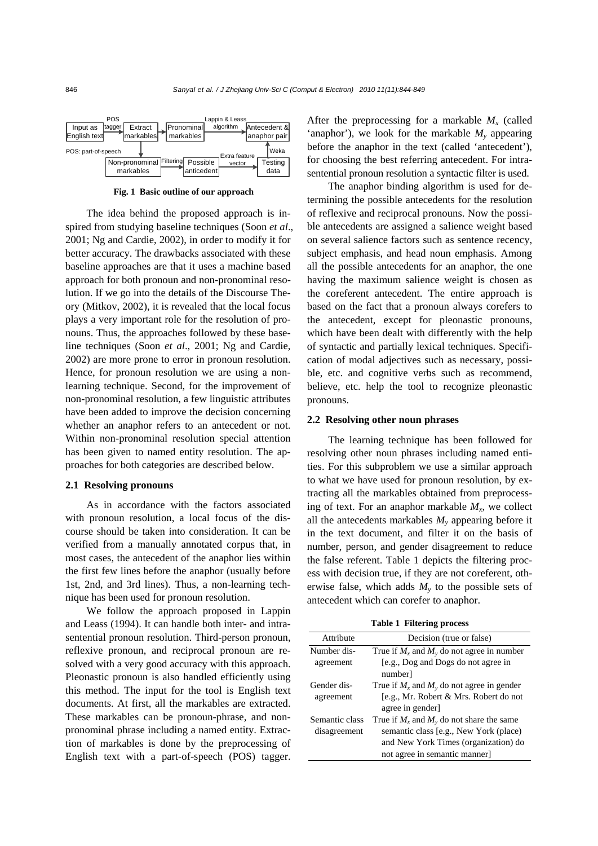

**Fig. 1 Basic outline of our approach**

The idea behind the proposed approach is inspired from studying baseline techniques (Soon *et al*., 2001; Ng and Cardie, 2002), in order to modify it for better accuracy. The drawbacks associated with these baseline approaches are that it uses a machine based approach for both pronoun and non-pronominal resolution. If we go into the details of the Discourse Theory (Mitkov, 2002), it is revealed that the local focus plays a very important role for the resolution of pronouns. Thus, the approaches followed by these baseline techniques (Soon *et al*., 2001; Ng and Cardie, 2002) are more prone to error in pronoun resolution. Hence, for pronoun resolution we are using a nonlearning technique. Second, for the improvement of non-pronominal resolution, a few linguistic attributes have been added to improve the decision concerning whether an anaphor refers to an antecedent or not. Within non-pronominal resolution special attention has been given to named entity resolution. The approaches for both categories are described below.

#### **2.1 Resolving pronouns**

As in accordance with the factors associated with pronoun resolution, a local focus of the discourse should be taken into consideration. It can be verified from a manually annotated corpus that, in most cases, the antecedent of the anaphor lies within the first few lines before the anaphor (usually before 1st, 2nd, and 3rd lines). Thus, a non-learning technique has been used for pronoun resolution.

We follow the approach proposed in Lappin and Leass (1994). It can handle both inter- and intrasentential pronoun resolution. Third-person pronoun, reflexive pronoun, and reciprocal pronoun are resolved with a very good accuracy with this approach. Pleonastic pronoun is also handled efficiently using this method. The input for the tool is English text documents. At first, all the markables are extracted. These markables can be pronoun-phrase, and nonpronominal phrase including a named entity. Extraction of markables is done by the preprocessing of English text with a part-of-speech (POS) tagger.

After the preprocessing for a markable  $M<sub>x</sub>$  (called 'anaphor'), we look for the markable  $M_{v}$  appearing before the anaphor in the text (called 'antecedent'), for choosing the best referring antecedent. For intrasentential pronoun resolution a syntactic filter is used.

The anaphor binding algorithm is used for determining the possible antecedents for the resolution of reflexive and reciprocal pronouns. Now the possible antecedents are assigned a salience weight based on several salience factors such as sentence recency, subject emphasis, and head noun emphasis. Among all the possible antecedents for an anaphor, the one having the maximum salience weight is chosen as the coreferent antecedent. The entire approach is based on the fact that a pronoun always corefers to the antecedent, except for pleonastic pronouns, which have been dealt with differently with the help of syntactic and partially lexical techniques. Specification of modal adjectives such as necessary, possible, etc. and cognitive verbs such as recommend, believe, etc. help the tool to recognize pleonastic pronouns.

#### **2.2 Resolving other noun phrases**

The learning technique has been followed for resolving other noun phrases including named entities. For this subproblem we use a similar approach to what we have used for pronoun resolution, by extracting all the markables obtained from preprocessing of text. For an anaphor markable  $M<sub>x</sub>$ , we collect all the antecedents markables  $M<sub>v</sub>$  appearing before it in the text document, and filter it on the basis of number, person, and gender disagreement to reduce the false referent. Table 1 depicts the filtering process with decision true, if they are not coreferent, otherwise false, which adds  $M<sub>v</sub>$  to the possible sets of antecedent which can corefer to anaphor.

|  | <b>Table 1 Filtering process</b> |  |
|--|----------------------------------|--|
|--|----------------------------------|--|

| rabit I Flitting process |                                                |  |
|--------------------------|------------------------------------------------|--|
| Attribute                | Decision (true or false)                       |  |
| Number dis-              | True if $M_x$ and $M_y$ do not agree in number |  |
| agreement                | [e.g., Dog and Dogs do not agree in            |  |
|                          | number]                                        |  |
| Gender dis-              | True if $M_x$ and $M_y$ do not agree in gender |  |
| agreement                | [e.g., Mr. Robert & Mrs. Robert do not         |  |
|                          | agree in gender                                |  |
| Semantic class           | True if $M_x$ and $M_y$ do not share the same  |  |
| disagreement             | semantic class [e.g., New York (place)         |  |
|                          | and New York Times (organization) do           |  |
|                          | not agree in semantic manner]                  |  |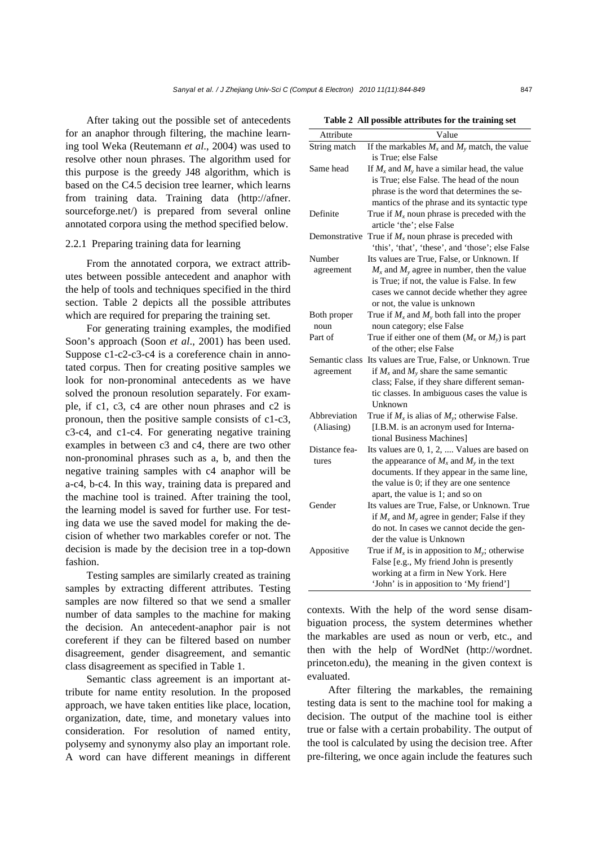After taking out the possible set of antecedents for an anaphor through filtering, the machine learning tool Weka (Reutemann *et al*., 2004) was used to resolve other noun phrases. The algorithm used for this purpose is the greedy J48 algorithm, which is based on the C4.5 decision tree learner, which learns from training data. Training data (http://afner. sourceforge.net/) is prepared from several online annotated corpora using the method specified below.

#### 2.2.1 Preparing training data for learning

From the annotated corpora, we extract attributes between possible antecedent and anaphor with the help of tools and techniques specified in the third section. Table 2 depicts all the possible attributes which are required for preparing the training set.

For generating training examples, the modified Soon's approach (Soon *et al*., 2001) has been used. Suppose c1-c2-c3-c4 is a coreference chain in annotated corpus. Then for creating positive samples we look for non-pronominal antecedents as we have solved the pronoun resolution separately. For example, if c1, c3, c4 are other noun phrases and c2 is pronoun, then the positive sample consists of c1-c3, c3-c4, and c1-c4. For generating negative training examples in between c3 and c4, there are two other non-pronominal phrases such as a, b, and then the negative training samples with c4 anaphor will be a-c4, b-c4. In this way, training data is prepared and the machine tool is trained. After training the tool, the learning model is saved for further use. For testing data we use the saved model for making the decision of whether two markables corefer or not. The decision is made by the decision tree in a top-down fashion.

Testing samples are similarly created as training samples by extracting different attributes. Testing samples are now filtered so that we send a smaller number of data samples to the machine for making the decision. An antecedent-anaphor pair is not coreferent if they can be filtered based on number disagreement, gender disagreement, and semantic class disagreement as specified in Table 1.

Semantic class agreement is an important attribute for name entity resolution. In the proposed approach, we have taken entities like place, location, organization, date, time, and monetary values into consideration. For resolution of named entity, polysemy and synonymy also play an important role. A word can have different meanings in different

| Table 2 All possible attributes for the training set |  |
|------------------------------------------------------|--|
|------------------------------------------------------|--|

| rable 2 An possible attributes for the training set |                                                                                                                                                                                                       |  |
|-----------------------------------------------------|-------------------------------------------------------------------------------------------------------------------------------------------------------------------------------------------------------|--|
| Attribute                                           | Value                                                                                                                                                                                                 |  |
| String match                                        | If the markables $M_x$ and $M_y$ match, the value<br>is True; else False                                                                                                                              |  |
| Same head                                           | If $M_x$ and $M_y$ have a similar head, the value                                                                                                                                                     |  |
|                                                     | is True; else False. The head of the noun<br>phrase is the word that determines the se-<br>mantics of the phrase and its syntactic type                                                               |  |
| Definite                                            | True if $M_x$ noun phrase is preceded with the<br>article 'the'; else False                                                                                                                           |  |
|                                                     | Demonstrative True if $M_x$ noun phrase is preceded with<br>'this', 'that', 'these', and 'those'; else False                                                                                          |  |
| Number                                              | Its values are True, False, or Unknown. If                                                                                                                                                            |  |
| agreement                                           | $M_x$ and $M_y$ agree in number, then the value<br>is True; if not, the value is False. In few<br>cases we cannot decide whether they agree<br>or not, the value is unknown                           |  |
| Both proper                                         | True if $M_x$ and $M_y$ both fall into the proper                                                                                                                                                     |  |
| noun                                                | noun category; else False                                                                                                                                                                             |  |
| Part of                                             | True if either one of them $(M_x \text{ or } M_y)$ is part<br>of the other; else False                                                                                                                |  |
| Semantic class<br>agreement                         | Its values are True, False, or Unknown. True<br>if $M_x$ and $M_y$ share the same semantic<br>class; False, if they share different seman-<br>tic classes. In ambiguous cases the value is<br>Unknown |  |
| Abbreviation<br>(Aliasing)                          | True if $M_x$ is alias of $M_y$ ; otherwise False.<br>[I.B.M. is an acronym used for Interna-<br>tional Business Machines]                                                                            |  |
| Distance fea-                                       | Its values are 0, 1, 2,  Values are based on                                                                                                                                                          |  |
| tures                                               | the appearance of $M_x$ and $M_y$ in the text<br>documents. If they appear in the same line,<br>the value is 0; if they are one sentence<br>apart, the value is 1; and so on                          |  |
| Gender                                              | Its values are True, False, or Unknown. True<br>if $M_x$ and $M_y$ agree in gender; False if they<br>do not. In cases we cannot decide the gen-<br>der the value is Unknown                           |  |
| Appositive                                          | True if $M_x$ is in apposition to $M_y$ ; otherwise<br>False [e.g., My friend John is presently<br>working at a firm in New York. Here<br>'John' is in apposition to 'My friend']                     |  |

contexts. With the help of the word sense disambiguation process, the system determines whether the markables are used as noun or verb, etc., and then with the help of WordNet (http://wordnet. princeton.edu), the meaning in the given context is evaluated.

After filtering the markables, the remaining testing data is sent to the machine tool for making a decision. The output of the machine tool is either true or false with a certain probability. The output of the tool is calculated by using the decision tree. After pre-filtering, we once again include the features such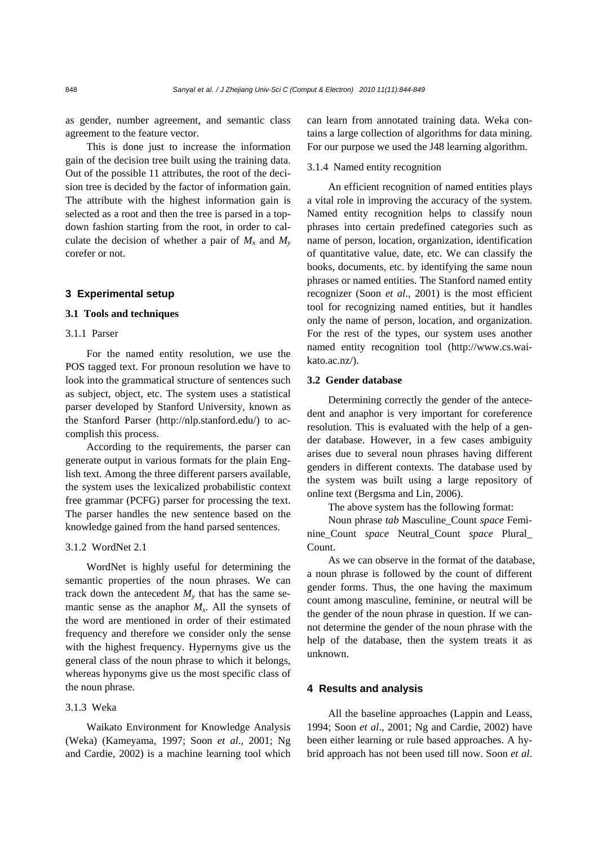as gender, number agreement, and semantic class agreement to the feature vector.

This is done just to increase the information gain of the decision tree built using the training data. Out of the possible 11 attributes, the root of the decision tree is decided by the factor of information gain. The attribute with the highest information gain is selected as a root and then the tree is parsed in a topdown fashion starting from the root, in order to calculate the decision of whether a pair of  $M_x$  and  $M_y$ corefer or not.

#### **3 Experimental setup**

# **3.1 Tools and techniques**

# 3.1.1 Parser

For the named entity resolution, we use the POS tagged text. For pronoun resolution we have to look into the grammatical structure of sentences such as subject, object, etc. The system uses a statistical parser developed by Stanford University, known as the Stanford Parser (http://nlp.stanford.edu/) to accomplish this process.

According to the requirements, the parser can generate output in various formats for the plain English text. Among the three different parsers available, the system uses the lexicalized probabilistic context free grammar (PCFG) parser for processing the text. The parser handles the new sentence based on the knowledge gained from the hand parsed sentences.

## 3.1.2 WordNet 2.1

WordNet is highly useful for determining the semantic properties of the noun phrases. We can track down the antecedent  $M_{v}$  that has the same semantic sense as the anaphor  $M<sub>x</sub>$ . All the synsets of the word are mentioned in order of their estimated frequency and therefore we consider only the sense with the highest frequency. Hypernyms give us the general class of the noun phrase to which it belongs, whereas hyponyms give us the most specific class of the noun phrase.

# 3.1.3 Weka

Waikato Environment for Knowledge Analysis (Weka) (Kameyama, 1997; Soon *et al*., 2001; Ng and Cardie, 2002) is a machine learning tool which can learn from annotated training data. Weka contains a large collection of algorithms for data mining. For our purpose we used the J48 learning algorithm.

#### 3.1.4 Named entity recognition

An efficient recognition of named entities plays a vital role in improving the accuracy of the system. Named entity recognition helps to classify noun phrases into certain predefined categories such as name of person, location, organization, identification of quantitative value, date, etc. We can classify the books, documents, etc. by identifying the same noun phrases or named entities. The Stanford named entity recognizer (Soon *et al*., 2001) is the most efficient tool for recognizing named entities, but it handles only the name of person, location, and organization. For the rest of the types, our system uses another named entity recognition tool (http://www.cs.waikato.ac.nz/).

## **3.2 Gender database**

Determining correctly the gender of the antecedent and anaphor is very important for coreference resolution. This is evaluated with the help of a gender database. However, in a few cases ambiguity arises due to several noun phrases having different genders in different contexts. The database used by the system was built using a large repository of online text (Bergsma and Lin, 2006).

The above system has the following format:

Noun phrase *tab* Masculine\_Count *space* Feminine\_Count *space* Neutral\_Count *space* Plural\_ Count.

As we can observe in the format of the database, a noun phrase is followed by the count of different gender forms. Thus, the one having the maximum count among masculine, feminine, or neutral will be the gender of the noun phrase in question. If we cannot determine the gender of the noun phrase with the help of the database, then the system treats it as unknown.

# **4 Results and analysis**

All the baseline approaches (Lappin and Leass, 1994; Soon *et al*., 2001; Ng and Cardie, 2002) have been either learning or rule based approaches. A hybrid approach has not been used till now. Soon *et al*.